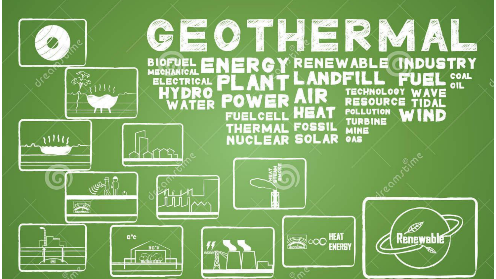#### **LATER** <u>an</u>  $\sum_{i=1}^N$ WB 2 W/S **NDUSTRY RENEWABLE BIOFUEI** R G **MECHANIC** COAL<br>OIL **ELECTRICAL**  $1111$ **TECHNOLOGY DRO WAVE** AIR **RESOURCE** Ξ  $\begin{array}{cc}\n\mathbf{F} \\
\hline\n\mathbf{F} \\
\hline\n\mathbf{F} \\
\hline\n\mathbf{F} \\
\hline\n\mathbf{F} \\
\hline\n\mathbf{F} \\
\hline\n\mathbf{F} \\
\hline\n\mathbf{F} \\
\hline\n\mathbf{F} \\
\hline\n\mathbf{F} \\
\hline\n\mathbf{F} \\
\hline\n\mathbf{F} \\
\hline\n\mathbf{F} \\
\hline\n\mathbf{F} \\
\hline\n\mathbf{F} \\
\hline\n\mathbf{F} \\
\hline\n\mathbf{F} \\
\hline\n\mathbf{F} \\
\hline\n\mathbf{F} \\
\hline\n\mathbf$ TF  $\overline{\mathbf{u}}$ where  $\mathcal{L}$ **ER** Ø **ENEXT COOP HEAT Renewable** o°c 30'c **CAN**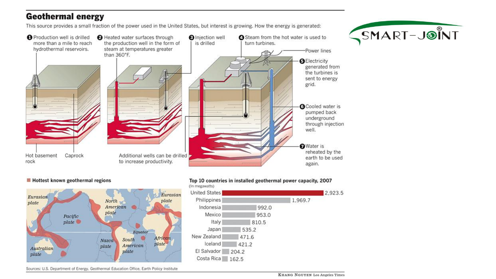#### **Geothermal energy**

This source provides a small fraction of the power used in the United States, but interest is growing. How the energy is generated:



# SMART-JSINT

#### Hottest known geothermal regions



#### Top 10 countries in installed geothermal power capacity, 2007



Sources: U.S. Department of Energy, Geothermal Education Office, Earth Policy Institute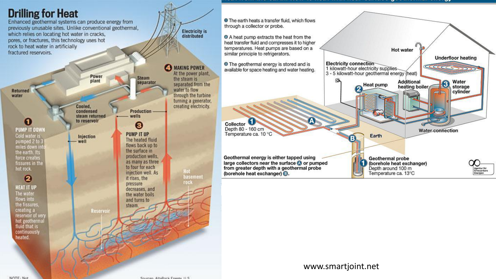

Raumens, AltoDan's Frigan II R.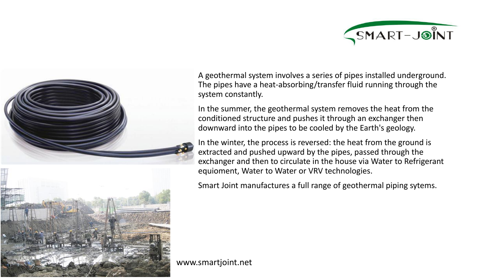





A geothermal system involves a series of pipes installed underground. The pipes have a heat-absorbing/transfer fluid running through the system constantly.

In the summer, the geothermal system removes the heat from the conditioned structure and pushes it through an exchanger then downward into the pipes to be cooled by the Earth's geology.

In the winter, the process is reversed: the heat from the ground is extracted and pushed upward by the pipes, passed through the exchanger and then to circulate in the house via Water to Refrigerant equioment, Water to Water or VRV technologies.

Smart Joint manufactures a full range of geothermal piping sytems.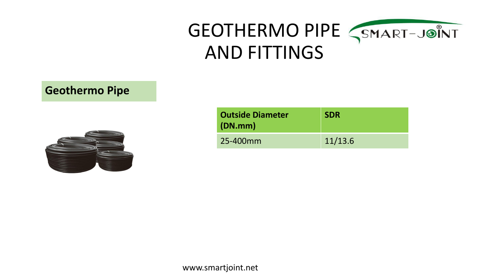# GEOTHERMO PIPE <SMART-JOINT AND FITTINGS

# **Geothermo Pipe**



| <b>Outside Diameter</b><br>(DN.mm) | <b>SDR</b> |  |
|------------------------------------|------------|--|
| 25-400mm                           | 11/13.6    |  |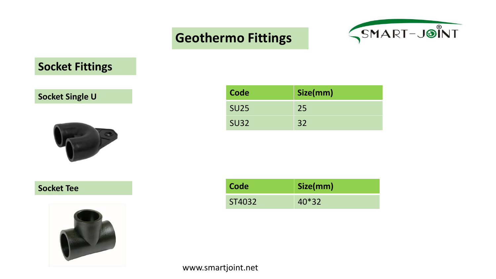

# **Socket Fittings**

# **Socket Single U**



#### **Socket Tee**



| Code        | Size(mm) |
|-------------|----------|
| <b>SU25</b> | 25       |
| <b>SU32</b> | 32       |

| Code   | Size(mm) |
|--------|----------|
| ST4032 | $40*32$  |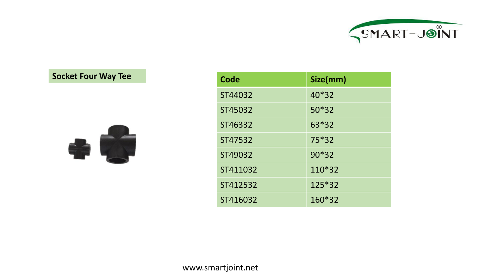

### **Socket Four Way Tee**



| Code     | Size(mm) |
|----------|----------|
| ST44032  | $40*32$  |
| ST45032  | $50*32$  |
| ST46332  | 63*32    |
| ST47532  | $75*32$  |
| ST49032  | $90*32$  |
| ST411032 | 110*32   |
| ST412532 | 125*32   |
| ST416032 | 160*32   |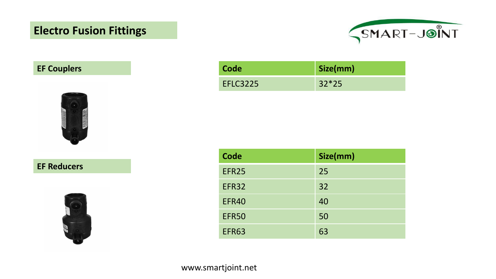# **Electro Fusion Fittings**



# **EF** Couplers



**EF Reducers**



| Code            | Size(mm) |
|-----------------|----------|
| <b>EFLC3225</b> | $32*25$  |

| <b>Code</b>  | Size(mm) |
|--------------|----------|
| EFR25        | 25       |
| <b>EFR32</b> | 32       |
| EFR40        | 40       |
| <b>EFR50</b> | 50       |
| <b>EFR63</b> | 63       |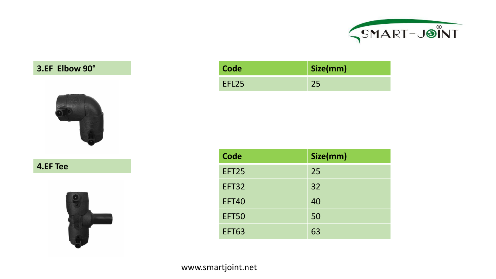

# **3.EF Elbow** 90°



**4.EF Tee**



| Code              | Size(mm) |
|-------------------|----------|
| EFL <sub>25</sub> |          |

| <b>Code</b>  | Size(mm) |
|--------------|----------|
| EFT25        | 25       |
| EFT32        | 32       |
| <b>EFT40</b> | 40       |
| <b>EFT50</b> | 50       |
| <b>EFT63</b> | 63       |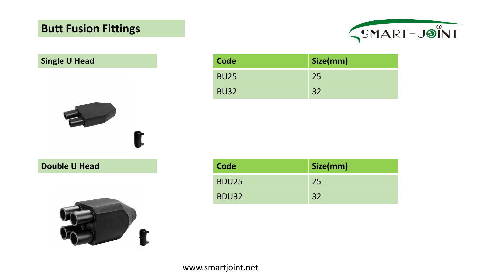# **Butt Fusion Fittings**



# **Single U Head**



|  | <b>Double U Head</b> |  |  |  |
|--|----------------------|--|--|--|
|--|----------------------|--|--|--|



| Code        | Size(mm) |
|-------------|----------|
| <b>BU25</b> | 25       |
| <b>BU32</b> | 32       |

| <b>Double U Head</b> | Code         | Size(mm) |
|----------------------|--------------|----------|
|                      | <b>BDU25</b> | 25       |
|                      | <b>BDU32</b> | 32       |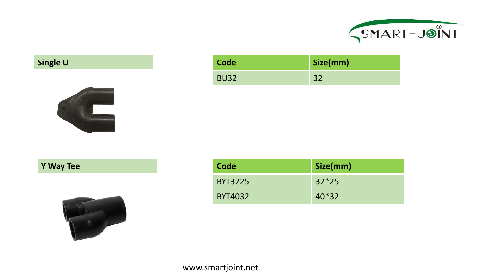

# **Single U**



# **Y Way Tee**



| Code        | Size(mm) |
|-------------|----------|
| <b>BU32</b> |          |

| Code           | Size(mm) |
|----------------|----------|
| <b>BYT3225</b> | $32*25$  |
| <b>BYT4032</b> | $40*32$  |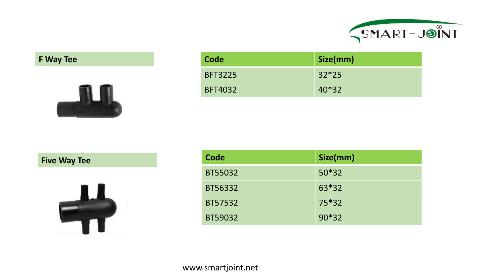

# **F Way Tee**



| Code           | Size(mm)  |
|----------------|-----------|
| <b>BFT3225</b> | $32*25$   |
| <b>BFT4032</b> | $ 40*32 $ |

**Five Way Tee**



| Code    | Size(mm) |
|---------|----------|
| BT55032 | $50*32$  |
| BT56332 | 63*32    |
| BT57532 | $75*32$  |
| BT59032 | $90*32$  |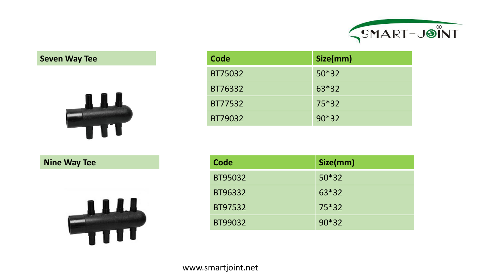

#### **Seven Way Tee**



| Code    | Size(mm) |
|---------|----------|
| BT75032 | $50*32$  |
| BT76332 | $63*32$  |
| BT77532 | $75*32$  |
| BT79032 | $90*32$  |

**Nine Way Tee** 



| Code    | Size(mm) |
|---------|----------|
| BT95032 | $50*32$  |
| BT96332 | 63*32    |
| BT97532 | 75*32    |
| BT99032 | $90*32$  |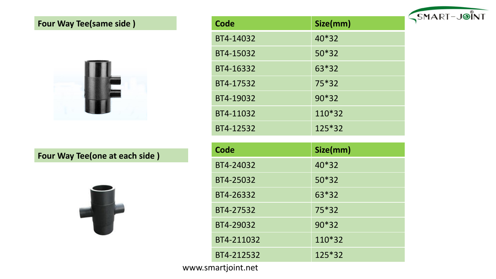# **Four Way Tee(same side)**



# **Four** Way Tee(one at each side)



| <b>Code</b> | Size(mm) |
|-------------|----------|
| BT4-14032   | 40*32    |
| BT4-15032   | $50*32$  |
| BT4-16332   | 63*32    |
| BT4-17532   | $75*32$  |
| BT4-19032   | 90*32    |
| BT4-11032   | 110*32   |
| BT4-12532   | 125*32   |

| <b>Code</b> | Size(mm) |
|-------------|----------|
| BT4-24032   | 40*32    |
| BT4-25032   | $50*32$  |
| BT4-26332   | $63*32$  |
| BT4-27532   | $75*32$  |
| BT4-29032   | 90*32    |
| BT4-211032  | $110*32$ |
| BT4-212532  | $125*32$ |

www.smartjoint.net

SMART-JOINT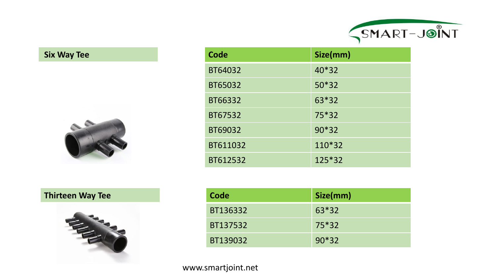

# **Six Way** Tee



| <b>Code</b> | Size(mm) |
|-------------|----------|
| BT64032     | 40*32    |
| BT65032     | $50*32$  |
| BT66332     | 63*32    |
| BT67532     | $75*32$  |
| BT69032     | $90*32$  |
| BT611032    | 110*32   |
| BT612532    | 125*32   |

### **Thirteen Way** Tee



| Code     | Size(mm) |
|----------|----------|
| BT136332 | 63*32    |
| BT137532 | 75*32    |
| BT139032 | $90*32$  |